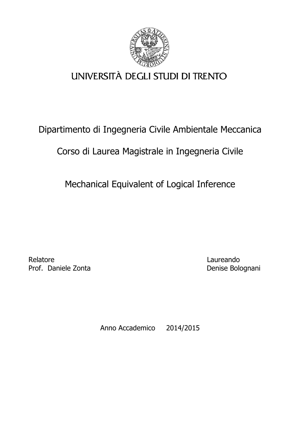

# UNIVERSITÀ DEGLI STUDI DI TRENTO

## Dipartimento di Ingegneria Civile Ambientale Meccanica

## Corso di Laurea Magistrale in Ingegneria Civile

Mechanical Equivalent of Logical Inference

Relatore **Laureando** Prof. Daniele Zonta **Denise Bolognani** 

Anno Accademico 2014/2015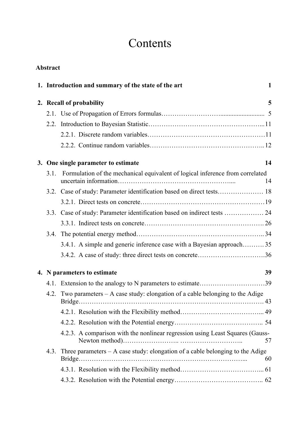# **Contents**

|      | <b>Abstract</b>          |                                                                                                        |    |  |  |  |  |
|------|--------------------------|--------------------------------------------------------------------------------------------------------|----|--|--|--|--|
|      |                          | 1. Introduction and summary of the state of the art                                                    | 1  |  |  |  |  |
|      | 2. Recall of probability |                                                                                                        |    |  |  |  |  |
|      |                          |                                                                                                        |    |  |  |  |  |
|      |                          |                                                                                                        |    |  |  |  |  |
|      |                          |                                                                                                        |    |  |  |  |  |
|      |                          |                                                                                                        |    |  |  |  |  |
|      |                          | 3. One single parameter to estimate                                                                    | 14 |  |  |  |  |
|      |                          | 3.1. Formulation of the mechanical equivalent of logical inference from correlated                     | 14 |  |  |  |  |
|      |                          |                                                                                                        |    |  |  |  |  |
|      |                          |                                                                                                        |    |  |  |  |  |
|      |                          | 3.3. Case of study: Parameter identification based on indirect tests  24                               |    |  |  |  |  |
|      |                          |                                                                                                        |    |  |  |  |  |
|      |                          |                                                                                                        |    |  |  |  |  |
|      |                          | 3.4.1. A simple and generic inference case with a Bayesian approach35                                  |    |  |  |  |  |
|      |                          |                                                                                                        |    |  |  |  |  |
|      |                          | 4. N parameters to estimate                                                                            | 39 |  |  |  |  |
|      |                          |                                                                                                        |    |  |  |  |  |
|      |                          | 4.2. Two parameters - A case study: elongation of a cable belonging to the Adige<br>$Bridge. \dots 43$ |    |  |  |  |  |
|      |                          |                                                                                                        |    |  |  |  |  |
|      |                          |                                                                                                        |    |  |  |  |  |
|      |                          | 4.2.3. A comparison with the nonlinear regression using Least Squares (Gauss-                          | 57 |  |  |  |  |
| 4.3. |                          | Three parameters $- A$ case study: elongation of a cable belonging to the Adige                        | 60 |  |  |  |  |
|      |                          |                                                                                                        |    |  |  |  |  |
|      |                          |                                                                                                        |    |  |  |  |  |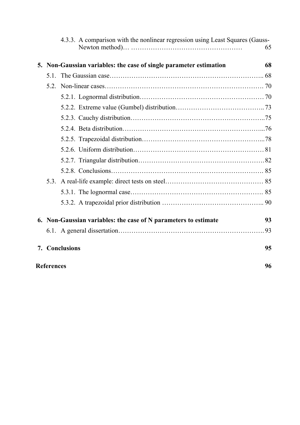|                   |  | 4.3.3. A comparison with the nonlinear regression using Least Squares (Gauss- |    |  |  |
|-------------------|--|-------------------------------------------------------------------------------|----|--|--|
|                   |  |                                                                               | 65 |  |  |
|                   |  | 5. Non-Gaussian variables: the case of single parameter estimation            | 68 |  |  |
|                   |  |                                                                               |    |  |  |
|                   |  |                                                                               |    |  |  |
|                   |  |                                                                               |    |  |  |
|                   |  |                                                                               |    |  |  |
|                   |  |                                                                               |    |  |  |
|                   |  |                                                                               |    |  |  |
|                   |  |                                                                               |    |  |  |
|                   |  |                                                                               |    |  |  |
|                   |  |                                                                               |    |  |  |
|                   |  |                                                                               |    |  |  |
|                   |  |                                                                               |    |  |  |
|                   |  |                                                                               |    |  |  |
|                   |  |                                                                               |    |  |  |
|                   |  | 6. Non-Gaussian variables: the case of N parameters to estimate               | 93 |  |  |
|                   |  |                                                                               |    |  |  |
|                   |  | 7. Conclusions                                                                | 95 |  |  |
| <b>References</b> |  |                                                                               |    |  |  |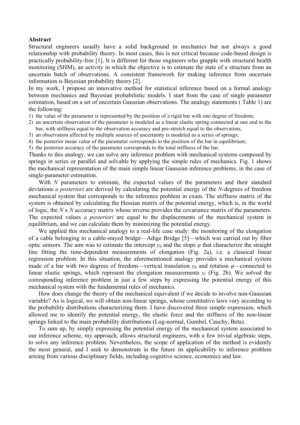#### **Abstract**

Structural engineers usually have a solid background in mechanics but not always a good relationship with probability theory. In most cases, this is not critical because code-based design is practically probability-free [1]. It is different for those engineers who grapple with structural health monitoring (SHM), an activity in which the objective is to estimate the state of a structure from an uncertain batch of observations. A consistent framework for making inference from uncertain information is Bayesian probability theory [2].

In my work, I propose an innovative method for statistical inference based on a formal analogy between mechanics and Bayesian probabilistic models. I start from the case of single parameter estimation, based on a set of uncertain Gaussian observations. The analogy statements ( Table 1) are the following:

- 1) the value of the parameter is represented by the position of a rigid bar with one degree of freedom;
- 2) an uncertain observation of the parameter is modeled as a linear elastic spring connected at one end to the bar, with stiffness equal to the observation accuracy and pre-stretch equal to the observation;
- 3) an observation affected by multiple sources of uncertainty is modeled as a series of springs;
- 4) the posterior mean value of the parameter corresponds to the position of the bar in equilibrium;
- 5) the posterior accuracy of the parameter corresponds to the total stiffness of the bar.

Thanks to this analogy, we can solve any inference problem with mechanical systems composed by springs in series or parallel and solvable by applying the simple rules of mechanics. Fig. 1 shows the mechanical representation of the main simple linear Gaussian inference problems, in the case of single-parameter estimation.

With *N* parameters to estimate, the expected values of the parameters and their standard deviations *a posteriori* are derived by calculating the potential energy of the *N*-degrees of freedom mechanical system that corresponds to the inference problem in exam. The stiffness matrix of the system is obtained by calculating the Hessian matrix of the potential energy, which is, in the world of logic, the *N* x *N* accuracy matrix whose inverse provides the covariance matrix of the parameters. The expected values *a posteriori* are equal to the displacements of the mechanical system in equilibrium, and we can calculate them by minimizing the potential energy.

We applied this mechanical analogy to a real-life case study: the monitoring of the elongation of a cable belonging to a cable-stayed bridge—Adige Bridge [5]—which was carried out by fiber optic sensors. The aim was to estimate the intercept  $y_0$  and the slope  $\varphi$  that characterize the straight line fitting the time-dependent measurements of elongation (Fig. 2a), i.e. a classical linear regression problem. In this situation, the aforementioned analogy provides a mechanical system made of a bar with two degrees of freedom—vertical translation  $y_0$  and rotation  $\varphi$ —connected to linear elastic springs, which represent the elongation measurements  $y_i$  (Fig. 2b). We solved the corresponding inference problem in just a few steps by expressing the potential energy of this mechanical system with the fundamental rules of mechanics.

How does change the theory of the mechanical equivalent if we decide to involve non-Gaussian variable? As is logical, we will obtain non-linear springs, whose constitutive laws vary according to the probability distributions characterizing them. I have discovered three simple expression, which allowed me to identify the potential energy, the elastic force and the stiffness of the non-linear springs linked to the main probability distributions (Log-normal, Gumbel, Cauchy, Beta).

To sum up, by simply expressing the potential energy of the mechanical system associated to our inference scheme, my approach, allows structural engineers, with a few trivial algebraic steps, to solve any inference problem. Nevertheless, the scope of application of the method is evidently the most general, and I seek to demonstrate in the future its applicability to inference problem arising from various disciplinary fields, including cognitive science, economics and law.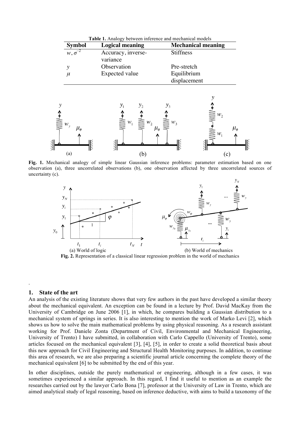| Table 1. Analogy between inference and mechanical models |  |  |  |  |  |
|----------------------------------------------------------|--|--|--|--|--|
|----------------------------------------------------------|--|--|--|--|--|

| <b>Symbol</b>    | <b>Logical meaning</b> | <b>Mechanical meaning</b> |  |  |  |  |
|------------------|------------------------|---------------------------|--|--|--|--|
| $w, \sigma^{-2}$ | Accuracy, inverse-     | <b>Stiffness</b>          |  |  |  |  |
|                  | variance               |                           |  |  |  |  |
|                  | Observation            | Pre-stretch               |  |  |  |  |
|                  | Expected value         | Equilibrium               |  |  |  |  |
|                  |                        | displacement              |  |  |  |  |



**Fig. 1.** Mechanical analogy of simple linear Gaussian inference problems: parameter estimation based on one observation (a), three uncorrelated observations (b), one observation affected by three uncorrelated sources of uncertainty (c).



**Fig. 2.** Representation of a classical linear regression problem in the world of mechanics

#### **1. State of the art**

.

An analysis of the existing literature shows that very few authors in the past have developed a similar theory about the mechanical equivalent. An exception can be found in a lecture by Prof. David MacKay from the University of Cambridge on June 2006 [1], in which, he compares building a Gaussian distribution to a mechanical system of springs in series. It is also interesting to mention the work of Marko Levi [2], which shows us how to solve the main mathematical problems by using physical reasoning. As a research assistant working for Prof. Daniele Zonta (Department of Civil, Environmental and Mechanical Engineering, University of Trento) I have submitted, in collaboration with Carlo Cappello (University of Trento), some articles focused on the mechanical equivalent [3], [4], [5], in order to create a solid theoretical basis about this new approach for Civil Engineering and Structural Health Monitoring purposes. In addition, to continue this area of research, we are also preparing a scientific journal article concerning the complete theory of the mechanical equivalent [6] to be submitted by the end of this year.

In other disciplines, outside the purely mathematical or engineering, although in a few cases, it was sometimes experienced a similar approach. In this regard, I find it useful to mention as an example the researches carried out by the lawyer Carlo Bona [7], professor at the University of Law in Trento, which are aimed analytical study of legal reasoning, based on inference deductive, with aims to build a taxonomy of the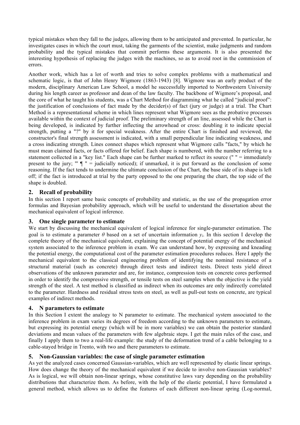typical mistakes when they fall to the judges, allowing them to be anticipated and prevented. In particular, he investigates cases in which the court must, taking the garments of the scientist, make judgments and random probability and the typical mistakes that commit performs these arguments. It is also presented the interesting hypothesis of replacing the judges with the machines, so as to avoid root in the commission of errors.

Another work, which has a lot of worth and tries to solve complex problems with a mathematical and schematic logic, is that of John Henry Wigmore (1863-1943) [8]. Wigmore was an early product of the modern, disciplinary American Law School, a model he successfully imported to Northwestern University during his length career as professor and dean of the law faculty. The backbone of Wigmore's proposal, and the core of what he taught his students, was a Chart Method for diagramming what he called "judicial proof": the justification of conclusions of fact made by the decider(s) of fact (jury or judge) at a trial. The Chart Method is a representational scheme in which lines represent what Wigmore sees as the probative processes available within the context of judicial proof. The preliminary strength of an line, assessed while the Chart is being developed, is indicated by further inflecting the arrowhead or cross: doubling it to indicate special strength, putting a "?" by it for special weakness. After the entire Chart is finished and reviewed, the constructor's final strength assessment is indicated, with a small perpendicular line indicating weakness, and a cross indicating strength. Lines connect shapes which represent what Wigmore calls "facts," by which he must mean claimed facts, or facts offered for belief. Each shape is numbered, with the number referring to a statement collected in a "key list." Each shape can be further marked to reflect its source (" " = immediately present to the jury; "'  $\P$  " = judicially noticed); if unmarked, it is put forward as the conclusion of some reasoning. If the fact tends to undermine the ultimate conclusion of the Chart, the base side of its shape is left off; if the fact is introduced at trial by the party opposed to the one preparing the chart, the top side of the shape is doubled.

### **2. Recall of probability**

In this section I report same basic concepts of probability and statistic, as the use of the propagation error formulas and Bayesian probability approach, which will be useful to understand the dissertation about the mechanical equivalent of logical inference.

### **3. One single parameter to estimate**

We start by discussing the mechanical equivalent of logical inference for single-parameter estimation. The goal is to estimate a parameter  $\theta$  based on a set of uncertain information  $y_i$ . In this section I develop the complete theory of the mechanical equivalent, explaining the concept of potential energy of the mechanical system associated to the inference problem in exam. We can understand how, by expressing and kneading the potential energy, the computational cost of the parameter estimation procedures reduces. Here I apply the mechanical equivalent to the classical engineering problem of identifying the nominal resistance of a structural material (such as concrete) through direct tests and indirect tests. Direct tests yield direct observations of the unknown parameter and are, for instance, compression tests on concrete cores performed in order to identify the compressive strength, or tensile tests on steel samples when the objective is the yield strength of the steel. A test method is classified as indirect when its outcomes are only indirectly correlated to the parameter. Hardness and residual stress tests on steel, as well as pull-out tests on concrete, are typical examples of indirect methods.

### **4. N parameters to estimate**

In this Section I extent the analogy to N parameter to estimate. The mechanical system associated to the inference problem in exam varies its degrees of freedom according to the unknown parameters to estimate, but expressing its potential energy (which will be in more variables) we can obtain the posterior standard deviations and mean values of the parameters with few algebraic steps. I get the main rules of the case, and finally I apply them to two a real-life example: the study of the deformation trend of a cable belonging to a cable-stayed bridge in Trento, with two and there parameters to estimate.

### **5. Non-Gaussian variables: the case of single parameter estimation**

As yet the analyzed cases concerned Gaussian-variables, which are well represented by elastic linear springs. How does change the theory of the mechanical equivalent if we decide to involve non-Gaussian variables? As is logical, we will obtain non-linear springs, whose constitutive laws vary depending on the probability distributions that characterize them. As before, with the help of the elastic potential, I have formulated a general method, which allows us to define the features of each different non-linear spring (Log-normal,